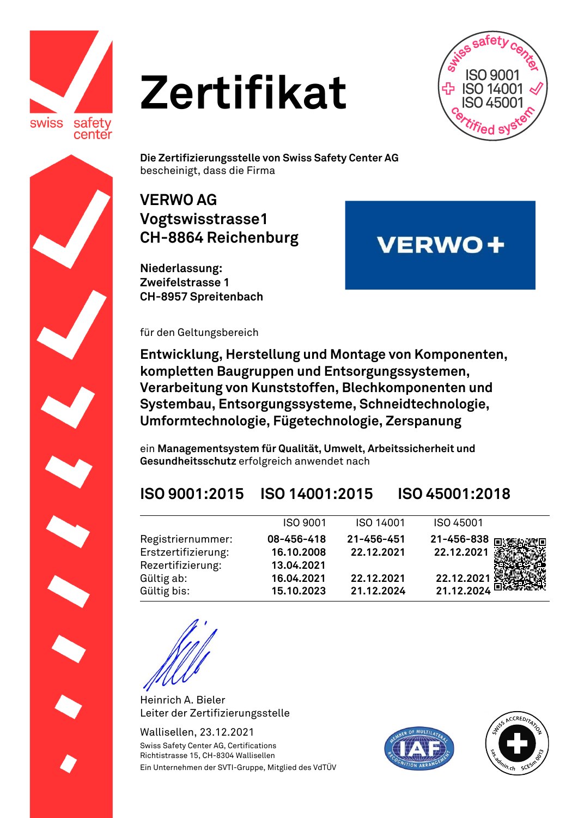

# **Zertifikat**



**VERWO+** 

**Die Zertifizierungsstelle von Swiss Safety Center AG**  bescheinigt, dass die Firma

#### **VERWO AG Vogtswisstrasse1 CH-8864 Reichenburg**

**Niederlassung: Zweifelstrasse 1 CH-8957 Spreitenbach**

für den Geltungsbereich

**Entwicklung, Herstellung und Montage von Komponenten, kompletten Baugruppen und Entsorgungssystemen, Verarbeitung von Kunststoffen, Blechkomponenten und Systembau, Entsorgungssysteme, Schneidtechnologie, Umformtechnologie, Fügetechnologie, Zerspanung**

ein **Managementsystem für Qualität, Umwelt, Arbeitssicherheit und Gesundheitsschutz** erfolgreich anwendet nach

### **ISO 9001:2015 ISO 14001:2015 ISO 45001:2018**

|                     | ISO 9001   | ISO 14001  | ISO 45001                   |
|---------------------|------------|------------|-----------------------------|
| Registriernummer:   | 08-456-418 | 21-456-451 | 21-456-838 நடித்துள்ள       |
| Erstzertifizierung: | 16.10.2008 | 22.12.2021 | 22.12.2021                  |
| Rezertifizierung:   | 13.04.2021 |            |                             |
| Gültig ab:          | 16.04.2021 | 22.12.2021 | 22.12.2021                  |
| Gültig bis:         | 15.10.2023 | 21.12.2024 | $21.12.2024$ $\blacksquare$ |

Heinrich A. Bieler Leiter der Zertifizierungsstelle

Wallisellen, 23.12.2021 Swiss Safety Center AG, Certifications Richtistrasse 15, CH-8304 Wallisellen Ein Unternehmen der SVTI-Gruppe, Mitglied des VdTÜV